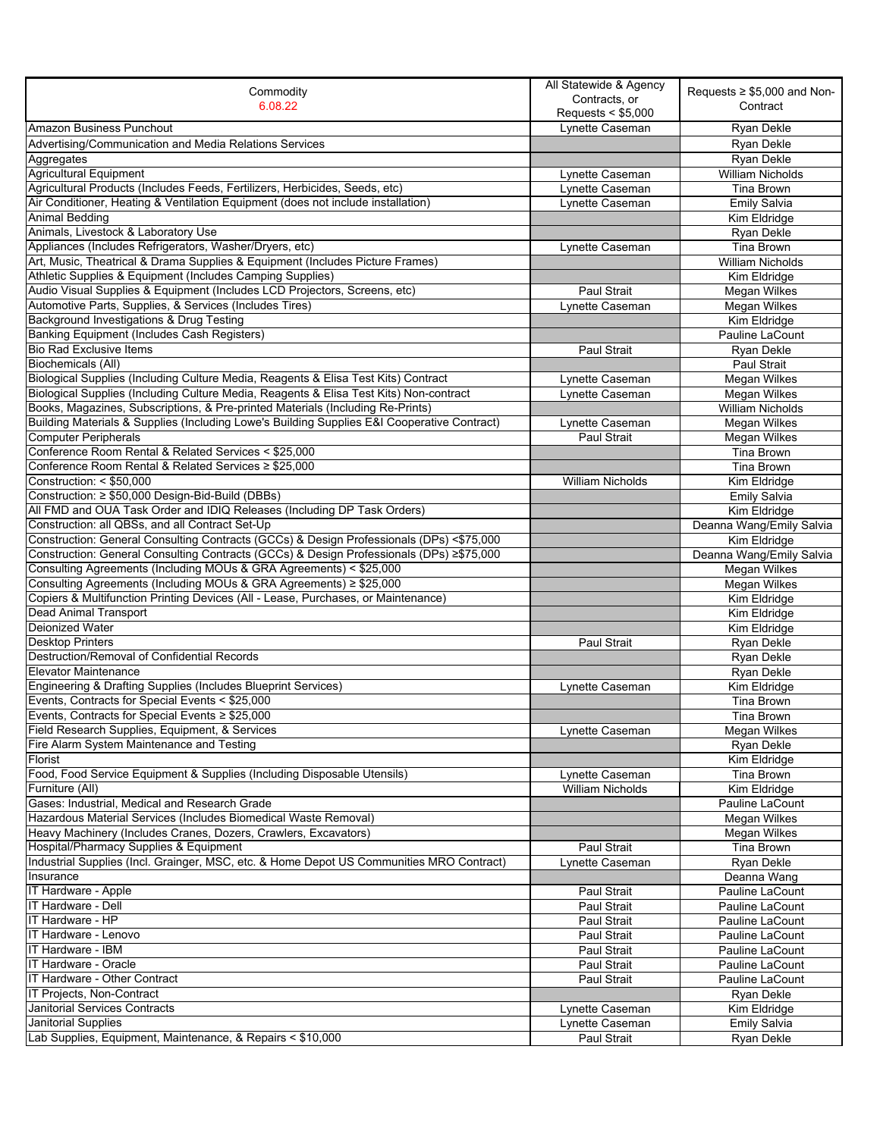| Contracts, or<br>6.08.22<br>Contract<br>Requests < \$5,000<br><b>Amazon Business Punchout</b><br>Lynette Caseman<br>Ryan Dekle<br>Ryan Dekle<br>Advertising/Communication and Media Relations Services<br>Aggregates<br>Ryan Dekle<br><b>Agricultural Equipment</b><br><b>William Nicholds</b><br>Lynette Caseman<br>Agricultural Products (Includes Feeds, Fertilizers, Herbicides, Seeds, etc)<br>Lynette Caseman<br>Tina Brown<br>Air Conditioner, Heating & Ventilation Equipment (does not include installation)<br>Lynette Caseman<br><b>Emily Salvia</b><br><b>Animal Bedding</b><br>Kim Eldridge<br>Animals, Livestock & Laboratory Use<br>Ryan Dekle<br>Appliances (Includes Refrigerators, Washer/Dryers, etc)<br>Tina Brown<br>Lynette Caseman<br>Art, Music, Theatrical & Drama Supplies & Equipment (Includes Picture Frames)<br><b>William Nicholds</b><br>Athletic Supplies & Equipment (Includes Camping Supplies)<br>Kim Eldridge<br>Audio Visual Supplies & Equipment (Includes LCD Projectors, Screens, etc)<br>Megan Wilkes<br>Paul Strait<br>Automotive Parts, Supplies, & Services (Includes Tires)<br>Lynette Caseman<br>Megan Wilkes<br>Background Investigations & Drug Testing<br>Kim Eldridge<br><b>Banking Equipment (Includes Cash Registers)</b><br>Pauline LaCount<br><b>Bio Rad Exclusive Items</b><br>Paul Strait<br>Ryan Dekle<br><b>Biochemicals (All)</b><br>Paul Strait<br>Biological Supplies (Including Culture Media, Reagents & Elisa Test Kits) Contract<br><b>Megan Wilkes</b><br>Lynette Caseman<br>Biological Supplies (Including Culture Media, Reagents & Elisa Test Kits) Non-contract<br>Lynette Caseman<br>Megan Wilkes<br>Books, Magazines, Subscriptions, & Pre-printed Materials (Including Re-Prints)<br>William Nicholds<br>Building Materials & Supplies (Including Lowe's Building Supplies E&I Cooperative Contract)<br><b>Megan Wilkes</b><br>Lynette Caseman<br><b>Computer Peripherals</b><br>Paul Strait<br>Megan Wilkes<br>Conference Room Rental & Related Services < \$25,000<br>Tina Brown<br>Conference Room Rental & Related Services ≥ \$25,000<br>Tina Brown<br>Construction: < \$50,000<br><b>William Nicholds</b><br>Kim Eldridge<br>Construction: ≥ \$50,000 Design-Bid-Build (DBBs)<br><b>Emily Salvia</b><br>All FMD and OUA Task Order and IDIQ Releases (Including DP Task Orders)<br>Kim Eldridge<br>Construction: all QBSs, and all Contract Set-Up<br>Deanna Wang/Emily Salvia<br>Construction: General Consulting Contracts (GCCs) & Design Professionals (DPs) <\$75,000<br>Kim Eldridge<br>Construction: General Consulting Contracts (GCCs) & Design Professionals (DPs) ≥\$75,000<br>Deanna Wang/Emily Salvia<br>Consulting Agreements (Including MOUs & GRA Agreements) < \$25,000<br><b>Megan Wilkes</b><br>Consulting Agreements (Including MOUs & GRA Agreements) ≥ \$25,000<br>Megan Wilkes<br>Copiers & Multifunction Printing Devices (All - Lease, Purchases, or Maintenance)<br>Kim Eldridge<br>Dead Animal Transport<br>Kim Eldridge<br><b>Deionized Water</b><br>Kim Eldridge<br><b>Desktop Printers</b><br>Paul Strait<br>Ryan Dekle<br>Destruction/Removal of Confidential Records<br>Ryan Dekle<br><b>Elevator Maintenance</b><br>Ryan Dekle<br>Engineering & Drafting Supplies (Includes Blueprint Services)<br>Kim Eldridge<br>Lynette Caseman<br>Events, Contracts for Special Events < \$25,000<br><b>Tina Brown</b><br>Events, Contracts for Special Events ≥ \$25,000<br><b>Tina Brown</b><br>Field Research Supplies, Equipment, & Services<br>Megan Wilkes<br>Lynette Caseman<br>Fire Alarm System Maintenance and Testing<br>Ryan Dekle<br>Florist<br>Kim Eldridge<br>Food, Food Service Equipment & Supplies (Including Disposable Utensils)<br>Tina Brown<br>Lynette Caseman<br>Furniture (All)<br><b>William Nicholds</b><br>Kim Eldridge<br>Gases: Industrial, Medical and Research Grade<br>Pauline LaCount<br>Hazardous Material Services (Includes Biomedical Waste Removal)<br>Megan Wilkes<br>Heavy Machinery (Includes Cranes, Dozers, Crawlers, Excavators)<br>Megan Wilkes<br>Hospital/Pharmacy Supplies & Equipment<br>Paul Strait<br>Tina Brown<br>Industrial Supplies (Incl. Grainger, MSC, etc. & Home Depot US Communities MRO Contract)<br>Lynette Caseman<br>Ryan Dekle<br>Insurance<br>Deanna Wang<br>IT Hardware - Apple<br>Paul Strait<br>Pauline LaCount<br>IT Hardware - Dell<br>Paul Strait<br>Pauline LaCount<br>IT Hardware - HP<br>Paul Strait<br>Pauline LaCount<br>IT Hardware - Lenovo<br>Paul Strait<br>Pauline LaCount<br>IT Hardware - IBM<br>Paul Strait<br>Pauline LaCount<br>IT Hardware - Oracle<br>Paul Strait<br>Pauline LaCount<br>IT Hardware - Other Contract<br>Paul Strait<br>Pauline LaCount<br>IT Projects, Non-Contract<br>Ryan Dekle<br><b>Janitorial Services Contracts</b><br>Lynette Caseman<br>Kim Eldridge<br>Janitorial Supplies<br><b>Emily Salvia</b><br>Lynette Caseman<br>Lab Supplies, Equipment, Maintenance, & Repairs < \$10,000<br>Paul Strait<br>Ryan Dekle | Commodity | All Statewide & Agency | Requests $\geq$ \$5,000 and Non- |
|------------------------------------------------------------------------------------------------------------------------------------------------------------------------------------------------------------------------------------------------------------------------------------------------------------------------------------------------------------------------------------------------------------------------------------------------------------------------------------------------------------------------------------------------------------------------------------------------------------------------------------------------------------------------------------------------------------------------------------------------------------------------------------------------------------------------------------------------------------------------------------------------------------------------------------------------------------------------------------------------------------------------------------------------------------------------------------------------------------------------------------------------------------------------------------------------------------------------------------------------------------------------------------------------------------------------------------------------------------------------------------------------------------------------------------------------------------------------------------------------------------------------------------------------------------------------------------------------------------------------------------------------------------------------------------------------------------------------------------------------------------------------------------------------------------------------------------------------------------------------------------------------------------------------------------------------------------------------------------------------------------------------------------------------------------------------------------------------------------------------------------------------------------------------------------------------------------------------------------------------------------------------------------------------------------------------------------------------------------------------------------------------------------------------------------------------------------------------------------------------------------------------------------------------------------------------------------------------------------------------------------------------------------------------------------------------------------------------------------------------------------------------------------------------------------------------------------------------------------------------------------------------------------------------------------------------------------------------------------------------------------------------------------------------------------------------------------------------------------------------------------------------------------------------------------------------------------------------------------------------------------------------------------------------------------------------------------------------------------------------------------------------------------------------------------------------------------------------------------------------------------------------------------------------------------------------------------------------------------------------------------------------------------------------------------------------------------------------------------------------------------------------------------------------------------------------------------------------------------------------------------------------------------------------------------------------------------------------------------------------------------------------------------------------------------------------------------------------------------------------------------------------------------------------------------------------------------------------------------------------------------------------------------------------------------------------------------------------------------------------------------------------------------------------------------------------------------------------------------------------------------------------------------------------------------------------------------------------------------------------------------------------------------------------------------------------------------------------------------------------------------------------------------------------------------------------------------------------------------------------------------------------------------------------------------------------------------------------------------------------------------------------------------------|-----------|------------------------|----------------------------------|
|                                                                                                                                                                                                                                                                                                                                                                                                                                                                                                                                                                                                                                                                                                                                                                                                                                                                                                                                                                                                                                                                                                                                                                                                                                                                                                                                                                                                                                                                                                                                                                                                                                                                                                                                                                                                                                                                                                                                                                                                                                                                                                                                                                                                                                                                                                                                                                                                                                                                                                                                                                                                                                                                                                                                                                                                                                                                                                                                                                                                                                                                                                                                                                                                                                                                                                                                                                                                                                                                                                                                                                                                                                                                                                                                                                                                                                                                                                                                                                                                                                                                                                                                                                                                                                                                                                                                                                                                                                                                                                                                                                                                                                                                                                                                                                                                                                                                                                                                                                                                                                          |           |                        |                                  |
|                                                                                                                                                                                                                                                                                                                                                                                                                                                                                                                                                                                                                                                                                                                                                                                                                                                                                                                                                                                                                                                                                                                                                                                                                                                                                                                                                                                                                                                                                                                                                                                                                                                                                                                                                                                                                                                                                                                                                                                                                                                                                                                                                                                                                                                                                                                                                                                                                                                                                                                                                                                                                                                                                                                                                                                                                                                                                                                                                                                                                                                                                                                                                                                                                                                                                                                                                                                                                                                                                                                                                                                                                                                                                                                                                                                                                                                                                                                                                                                                                                                                                                                                                                                                                                                                                                                                                                                                                                                                                                                                                                                                                                                                                                                                                                                                                                                                                                                                                                                                                                          |           |                        |                                  |
|                                                                                                                                                                                                                                                                                                                                                                                                                                                                                                                                                                                                                                                                                                                                                                                                                                                                                                                                                                                                                                                                                                                                                                                                                                                                                                                                                                                                                                                                                                                                                                                                                                                                                                                                                                                                                                                                                                                                                                                                                                                                                                                                                                                                                                                                                                                                                                                                                                                                                                                                                                                                                                                                                                                                                                                                                                                                                                                                                                                                                                                                                                                                                                                                                                                                                                                                                                                                                                                                                                                                                                                                                                                                                                                                                                                                                                                                                                                                                                                                                                                                                                                                                                                                                                                                                                                                                                                                                                                                                                                                                                                                                                                                                                                                                                                                                                                                                                                                                                                                                                          |           |                        |                                  |
|                                                                                                                                                                                                                                                                                                                                                                                                                                                                                                                                                                                                                                                                                                                                                                                                                                                                                                                                                                                                                                                                                                                                                                                                                                                                                                                                                                                                                                                                                                                                                                                                                                                                                                                                                                                                                                                                                                                                                                                                                                                                                                                                                                                                                                                                                                                                                                                                                                                                                                                                                                                                                                                                                                                                                                                                                                                                                                                                                                                                                                                                                                                                                                                                                                                                                                                                                                                                                                                                                                                                                                                                                                                                                                                                                                                                                                                                                                                                                                                                                                                                                                                                                                                                                                                                                                                                                                                                                                                                                                                                                                                                                                                                                                                                                                                                                                                                                                                                                                                                                                          |           |                        |                                  |
|                                                                                                                                                                                                                                                                                                                                                                                                                                                                                                                                                                                                                                                                                                                                                                                                                                                                                                                                                                                                                                                                                                                                                                                                                                                                                                                                                                                                                                                                                                                                                                                                                                                                                                                                                                                                                                                                                                                                                                                                                                                                                                                                                                                                                                                                                                                                                                                                                                                                                                                                                                                                                                                                                                                                                                                                                                                                                                                                                                                                                                                                                                                                                                                                                                                                                                                                                                                                                                                                                                                                                                                                                                                                                                                                                                                                                                                                                                                                                                                                                                                                                                                                                                                                                                                                                                                                                                                                                                                                                                                                                                                                                                                                                                                                                                                                                                                                                                                                                                                                                                          |           |                        |                                  |
|                                                                                                                                                                                                                                                                                                                                                                                                                                                                                                                                                                                                                                                                                                                                                                                                                                                                                                                                                                                                                                                                                                                                                                                                                                                                                                                                                                                                                                                                                                                                                                                                                                                                                                                                                                                                                                                                                                                                                                                                                                                                                                                                                                                                                                                                                                                                                                                                                                                                                                                                                                                                                                                                                                                                                                                                                                                                                                                                                                                                                                                                                                                                                                                                                                                                                                                                                                                                                                                                                                                                                                                                                                                                                                                                                                                                                                                                                                                                                                                                                                                                                                                                                                                                                                                                                                                                                                                                                                                                                                                                                                                                                                                                                                                                                                                                                                                                                                                                                                                                                                          |           |                        |                                  |
|                                                                                                                                                                                                                                                                                                                                                                                                                                                                                                                                                                                                                                                                                                                                                                                                                                                                                                                                                                                                                                                                                                                                                                                                                                                                                                                                                                                                                                                                                                                                                                                                                                                                                                                                                                                                                                                                                                                                                                                                                                                                                                                                                                                                                                                                                                                                                                                                                                                                                                                                                                                                                                                                                                                                                                                                                                                                                                                                                                                                                                                                                                                                                                                                                                                                                                                                                                                                                                                                                                                                                                                                                                                                                                                                                                                                                                                                                                                                                                                                                                                                                                                                                                                                                                                                                                                                                                                                                                                                                                                                                                                                                                                                                                                                                                                                                                                                                                                                                                                                                                          |           |                        |                                  |
|                                                                                                                                                                                                                                                                                                                                                                                                                                                                                                                                                                                                                                                                                                                                                                                                                                                                                                                                                                                                                                                                                                                                                                                                                                                                                                                                                                                                                                                                                                                                                                                                                                                                                                                                                                                                                                                                                                                                                                                                                                                                                                                                                                                                                                                                                                                                                                                                                                                                                                                                                                                                                                                                                                                                                                                                                                                                                                                                                                                                                                                                                                                                                                                                                                                                                                                                                                                                                                                                                                                                                                                                                                                                                                                                                                                                                                                                                                                                                                                                                                                                                                                                                                                                                                                                                                                                                                                                                                                                                                                                                                                                                                                                                                                                                                                                                                                                                                                                                                                                                                          |           |                        |                                  |
|                                                                                                                                                                                                                                                                                                                                                                                                                                                                                                                                                                                                                                                                                                                                                                                                                                                                                                                                                                                                                                                                                                                                                                                                                                                                                                                                                                                                                                                                                                                                                                                                                                                                                                                                                                                                                                                                                                                                                                                                                                                                                                                                                                                                                                                                                                                                                                                                                                                                                                                                                                                                                                                                                                                                                                                                                                                                                                                                                                                                                                                                                                                                                                                                                                                                                                                                                                                                                                                                                                                                                                                                                                                                                                                                                                                                                                                                                                                                                                                                                                                                                                                                                                                                                                                                                                                                                                                                                                                                                                                                                                                                                                                                                                                                                                                                                                                                                                                                                                                                                                          |           |                        |                                  |
|                                                                                                                                                                                                                                                                                                                                                                                                                                                                                                                                                                                                                                                                                                                                                                                                                                                                                                                                                                                                                                                                                                                                                                                                                                                                                                                                                                                                                                                                                                                                                                                                                                                                                                                                                                                                                                                                                                                                                                                                                                                                                                                                                                                                                                                                                                                                                                                                                                                                                                                                                                                                                                                                                                                                                                                                                                                                                                                                                                                                                                                                                                                                                                                                                                                                                                                                                                                                                                                                                                                                                                                                                                                                                                                                                                                                                                                                                                                                                                                                                                                                                                                                                                                                                                                                                                                                                                                                                                                                                                                                                                                                                                                                                                                                                                                                                                                                                                                                                                                                                                          |           |                        |                                  |
|                                                                                                                                                                                                                                                                                                                                                                                                                                                                                                                                                                                                                                                                                                                                                                                                                                                                                                                                                                                                                                                                                                                                                                                                                                                                                                                                                                                                                                                                                                                                                                                                                                                                                                                                                                                                                                                                                                                                                                                                                                                                                                                                                                                                                                                                                                                                                                                                                                                                                                                                                                                                                                                                                                                                                                                                                                                                                                                                                                                                                                                                                                                                                                                                                                                                                                                                                                                                                                                                                                                                                                                                                                                                                                                                                                                                                                                                                                                                                                                                                                                                                                                                                                                                                                                                                                                                                                                                                                                                                                                                                                                                                                                                                                                                                                                                                                                                                                                                                                                                                                          |           |                        |                                  |
|                                                                                                                                                                                                                                                                                                                                                                                                                                                                                                                                                                                                                                                                                                                                                                                                                                                                                                                                                                                                                                                                                                                                                                                                                                                                                                                                                                                                                                                                                                                                                                                                                                                                                                                                                                                                                                                                                                                                                                                                                                                                                                                                                                                                                                                                                                                                                                                                                                                                                                                                                                                                                                                                                                                                                                                                                                                                                                                                                                                                                                                                                                                                                                                                                                                                                                                                                                                                                                                                                                                                                                                                                                                                                                                                                                                                                                                                                                                                                                                                                                                                                                                                                                                                                                                                                                                                                                                                                                                                                                                                                                                                                                                                                                                                                                                                                                                                                                                                                                                                                                          |           |                        |                                  |
|                                                                                                                                                                                                                                                                                                                                                                                                                                                                                                                                                                                                                                                                                                                                                                                                                                                                                                                                                                                                                                                                                                                                                                                                                                                                                                                                                                                                                                                                                                                                                                                                                                                                                                                                                                                                                                                                                                                                                                                                                                                                                                                                                                                                                                                                                                                                                                                                                                                                                                                                                                                                                                                                                                                                                                                                                                                                                                                                                                                                                                                                                                                                                                                                                                                                                                                                                                                                                                                                                                                                                                                                                                                                                                                                                                                                                                                                                                                                                                                                                                                                                                                                                                                                                                                                                                                                                                                                                                                                                                                                                                                                                                                                                                                                                                                                                                                                                                                                                                                                                                          |           |                        |                                  |
|                                                                                                                                                                                                                                                                                                                                                                                                                                                                                                                                                                                                                                                                                                                                                                                                                                                                                                                                                                                                                                                                                                                                                                                                                                                                                                                                                                                                                                                                                                                                                                                                                                                                                                                                                                                                                                                                                                                                                                                                                                                                                                                                                                                                                                                                                                                                                                                                                                                                                                                                                                                                                                                                                                                                                                                                                                                                                                                                                                                                                                                                                                                                                                                                                                                                                                                                                                                                                                                                                                                                                                                                                                                                                                                                                                                                                                                                                                                                                                                                                                                                                                                                                                                                                                                                                                                                                                                                                                                                                                                                                                                                                                                                                                                                                                                                                                                                                                                                                                                                                                          |           |                        |                                  |
|                                                                                                                                                                                                                                                                                                                                                                                                                                                                                                                                                                                                                                                                                                                                                                                                                                                                                                                                                                                                                                                                                                                                                                                                                                                                                                                                                                                                                                                                                                                                                                                                                                                                                                                                                                                                                                                                                                                                                                                                                                                                                                                                                                                                                                                                                                                                                                                                                                                                                                                                                                                                                                                                                                                                                                                                                                                                                                                                                                                                                                                                                                                                                                                                                                                                                                                                                                                                                                                                                                                                                                                                                                                                                                                                                                                                                                                                                                                                                                                                                                                                                                                                                                                                                                                                                                                                                                                                                                                                                                                                                                                                                                                                                                                                                                                                                                                                                                                                                                                                                                          |           |                        |                                  |
|                                                                                                                                                                                                                                                                                                                                                                                                                                                                                                                                                                                                                                                                                                                                                                                                                                                                                                                                                                                                                                                                                                                                                                                                                                                                                                                                                                                                                                                                                                                                                                                                                                                                                                                                                                                                                                                                                                                                                                                                                                                                                                                                                                                                                                                                                                                                                                                                                                                                                                                                                                                                                                                                                                                                                                                                                                                                                                                                                                                                                                                                                                                                                                                                                                                                                                                                                                                                                                                                                                                                                                                                                                                                                                                                                                                                                                                                                                                                                                                                                                                                                                                                                                                                                                                                                                                                                                                                                                                                                                                                                                                                                                                                                                                                                                                                                                                                                                                                                                                                                                          |           |                        |                                  |
|                                                                                                                                                                                                                                                                                                                                                                                                                                                                                                                                                                                                                                                                                                                                                                                                                                                                                                                                                                                                                                                                                                                                                                                                                                                                                                                                                                                                                                                                                                                                                                                                                                                                                                                                                                                                                                                                                                                                                                                                                                                                                                                                                                                                                                                                                                                                                                                                                                                                                                                                                                                                                                                                                                                                                                                                                                                                                                                                                                                                                                                                                                                                                                                                                                                                                                                                                                                                                                                                                                                                                                                                                                                                                                                                                                                                                                                                                                                                                                                                                                                                                                                                                                                                                                                                                                                                                                                                                                                                                                                                                                                                                                                                                                                                                                                                                                                                                                                                                                                                                                          |           |                        |                                  |
|                                                                                                                                                                                                                                                                                                                                                                                                                                                                                                                                                                                                                                                                                                                                                                                                                                                                                                                                                                                                                                                                                                                                                                                                                                                                                                                                                                                                                                                                                                                                                                                                                                                                                                                                                                                                                                                                                                                                                                                                                                                                                                                                                                                                                                                                                                                                                                                                                                                                                                                                                                                                                                                                                                                                                                                                                                                                                                                                                                                                                                                                                                                                                                                                                                                                                                                                                                                                                                                                                                                                                                                                                                                                                                                                                                                                                                                                                                                                                                                                                                                                                                                                                                                                                                                                                                                                                                                                                                                                                                                                                                                                                                                                                                                                                                                                                                                                                                                                                                                                                                          |           |                        |                                  |
|                                                                                                                                                                                                                                                                                                                                                                                                                                                                                                                                                                                                                                                                                                                                                                                                                                                                                                                                                                                                                                                                                                                                                                                                                                                                                                                                                                                                                                                                                                                                                                                                                                                                                                                                                                                                                                                                                                                                                                                                                                                                                                                                                                                                                                                                                                                                                                                                                                                                                                                                                                                                                                                                                                                                                                                                                                                                                                                                                                                                                                                                                                                                                                                                                                                                                                                                                                                                                                                                                                                                                                                                                                                                                                                                                                                                                                                                                                                                                                                                                                                                                                                                                                                                                                                                                                                                                                                                                                                                                                                                                                                                                                                                                                                                                                                                                                                                                                                                                                                                                                          |           |                        |                                  |
|                                                                                                                                                                                                                                                                                                                                                                                                                                                                                                                                                                                                                                                                                                                                                                                                                                                                                                                                                                                                                                                                                                                                                                                                                                                                                                                                                                                                                                                                                                                                                                                                                                                                                                                                                                                                                                                                                                                                                                                                                                                                                                                                                                                                                                                                                                                                                                                                                                                                                                                                                                                                                                                                                                                                                                                                                                                                                                                                                                                                                                                                                                                                                                                                                                                                                                                                                                                                                                                                                                                                                                                                                                                                                                                                                                                                                                                                                                                                                                                                                                                                                                                                                                                                                                                                                                                                                                                                                                                                                                                                                                                                                                                                                                                                                                                                                                                                                                                                                                                                                                          |           |                        |                                  |
|                                                                                                                                                                                                                                                                                                                                                                                                                                                                                                                                                                                                                                                                                                                                                                                                                                                                                                                                                                                                                                                                                                                                                                                                                                                                                                                                                                                                                                                                                                                                                                                                                                                                                                                                                                                                                                                                                                                                                                                                                                                                                                                                                                                                                                                                                                                                                                                                                                                                                                                                                                                                                                                                                                                                                                                                                                                                                                                                                                                                                                                                                                                                                                                                                                                                                                                                                                                                                                                                                                                                                                                                                                                                                                                                                                                                                                                                                                                                                                                                                                                                                                                                                                                                                                                                                                                                                                                                                                                                                                                                                                                                                                                                                                                                                                                                                                                                                                                                                                                                                                          |           |                        |                                  |
|                                                                                                                                                                                                                                                                                                                                                                                                                                                                                                                                                                                                                                                                                                                                                                                                                                                                                                                                                                                                                                                                                                                                                                                                                                                                                                                                                                                                                                                                                                                                                                                                                                                                                                                                                                                                                                                                                                                                                                                                                                                                                                                                                                                                                                                                                                                                                                                                                                                                                                                                                                                                                                                                                                                                                                                                                                                                                                                                                                                                                                                                                                                                                                                                                                                                                                                                                                                                                                                                                                                                                                                                                                                                                                                                                                                                                                                                                                                                                                                                                                                                                                                                                                                                                                                                                                                                                                                                                                                                                                                                                                                                                                                                                                                                                                                                                                                                                                                                                                                                                                          |           |                        |                                  |
|                                                                                                                                                                                                                                                                                                                                                                                                                                                                                                                                                                                                                                                                                                                                                                                                                                                                                                                                                                                                                                                                                                                                                                                                                                                                                                                                                                                                                                                                                                                                                                                                                                                                                                                                                                                                                                                                                                                                                                                                                                                                                                                                                                                                                                                                                                                                                                                                                                                                                                                                                                                                                                                                                                                                                                                                                                                                                                                                                                                                                                                                                                                                                                                                                                                                                                                                                                                                                                                                                                                                                                                                                                                                                                                                                                                                                                                                                                                                                                                                                                                                                                                                                                                                                                                                                                                                                                                                                                                                                                                                                                                                                                                                                                                                                                                                                                                                                                                                                                                                                                          |           |                        |                                  |
|                                                                                                                                                                                                                                                                                                                                                                                                                                                                                                                                                                                                                                                                                                                                                                                                                                                                                                                                                                                                                                                                                                                                                                                                                                                                                                                                                                                                                                                                                                                                                                                                                                                                                                                                                                                                                                                                                                                                                                                                                                                                                                                                                                                                                                                                                                                                                                                                                                                                                                                                                                                                                                                                                                                                                                                                                                                                                                                                                                                                                                                                                                                                                                                                                                                                                                                                                                                                                                                                                                                                                                                                                                                                                                                                                                                                                                                                                                                                                                                                                                                                                                                                                                                                                                                                                                                                                                                                                                                                                                                                                                                                                                                                                                                                                                                                                                                                                                                                                                                                                                          |           |                        |                                  |
|                                                                                                                                                                                                                                                                                                                                                                                                                                                                                                                                                                                                                                                                                                                                                                                                                                                                                                                                                                                                                                                                                                                                                                                                                                                                                                                                                                                                                                                                                                                                                                                                                                                                                                                                                                                                                                                                                                                                                                                                                                                                                                                                                                                                                                                                                                                                                                                                                                                                                                                                                                                                                                                                                                                                                                                                                                                                                                                                                                                                                                                                                                                                                                                                                                                                                                                                                                                                                                                                                                                                                                                                                                                                                                                                                                                                                                                                                                                                                                                                                                                                                                                                                                                                                                                                                                                                                                                                                                                                                                                                                                                                                                                                                                                                                                                                                                                                                                                                                                                                                                          |           |                        |                                  |
|                                                                                                                                                                                                                                                                                                                                                                                                                                                                                                                                                                                                                                                                                                                                                                                                                                                                                                                                                                                                                                                                                                                                                                                                                                                                                                                                                                                                                                                                                                                                                                                                                                                                                                                                                                                                                                                                                                                                                                                                                                                                                                                                                                                                                                                                                                                                                                                                                                                                                                                                                                                                                                                                                                                                                                                                                                                                                                                                                                                                                                                                                                                                                                                                                                                                                                                                                                                                                                                                                                                                                                                                                                                                                                                                                                                                                                                                                                                                                                                                                                                                                                                                                                                                                                                                                                                                                                                                                                                                                                                                                                                                                                                                                                                                                                                                                                                                                                                                                                                                                                          |           |                        |                                  |
|                                                                                                                                                                                                                                                                                                                                                                                                                                                                                                                                                                                                                                                                                                                                                                                                                                                                                                                                                                                                                                                                                                                                                                                                                                                                                                                                                                                                                                                                                                                                                                                                                                                                                                                                                                                                                                                                                                                                                                                                                                                                                                                                                                                                                                                                                                                                                                                                                                                                                                                                                                                                                                                                                                                                                                                                                                                                                                                                                                                                                                                                                                                                                                                                                                                                                                                                                                                                                                                                                                                                                                                                                                                                                                                                                                                                                                                                                                                                                                                                                                                                                                                                                                                                                                                                                                                                                                                                                                                                                                                                                                                                                                                                                                                                                                                                                                                                                                                                                                                                                                          |           |                        |                                  |
|                                                                                                                                                                                                                                                                                                                                                                                                                                                                                                                                                                                                                                                                                                                                                                                                                                                                                                                                                                                                                                                                                                                                                                                                                                                                                                                                                                                                                                                                                                                                                                                                                                                                                                                                                                                                                                                                                                                                                                                                                                                                                                                                                                                                                                                                                                                                                                                                                                                                                                                                                                                                                                                                                                                                                                                                                                                                                                                                                                                                                                                                                                                                                                                                                                                                                                                                                                                                                                                                                                                                                                                                                                                                                                                                                                                                                                                                                                                                                                                                                                                                                                                                                                                                                                                                                                                                                                                                                                                                                                                                                                                                                                                                                                                                                                                                                                                                                                                                                                                                                                          |           |                        |                                  |
|                                                                                                                                                                                                                                                                                                                                                                                                                                                                                                                                                                                                                                                                                                                                                                                                                                                                                                                                                                                                                                                                                                                                                                                                                                                                                                                                                                                                                                                                                                                                                                                                                                                                                                                                                                                                                                                                                                                                                                                                                                                                                                                                                                                                                                                                                                                                                                                                                                                                                                                                                                                                                                                                                                                                                                                                                                                                                                                                                                                                                                                                                                                                                                                                                                                                                                                                                                                                                                                                                                                                                                                                                                                                                                                                                                                                                                                                                                                                                                                                                                                                                                                                                                                                                                                                                                                                                                                                                                                                                                                                                                                                                                                                                                                                                                                                                                                                                                                                                                                                                                          |           |                        |                                  |
|                                                                                                                                                                                                                                                                                                                                                                                                                                                                                                                                                                                                                                                                                                                                                                                                                                                                                                                                                                                                                                                                                                                                                                                                                                                                                                                                                                                                                                                                                                                                                                                                                                                                                                                                                                                                                                                                                                                                                                                                                                                                                                                                                                                                                                                                                                                                                                                                                                                                                                                                                                                                                                                                                                                                                                                                                                                                                                                                                                                                                                                                                                                                                                                                                                                                                                                                                                                                                                                                                                                                                                                                                                                                                                                                                                                                                                                                                                                                                                                                                                                                                                                                                                                                                                                                                                                                                                                                                                                                                                                                                                                                                                                                                                                                                                                                                                                                                                                                                                                                                                          |           |                        |                                  |
|                                                                                                                                                                                                                                                                                                                                                                                                                                                                                                                                                                                                                                                                                                                                                                                                                                                                                                                                                                                                                                                                                                                                                                                                                                                                                                                                                                                                                                                                                                                                                                                                                                                                                                                                                                                                                                                                                                                                                                                                                                                                                                                                                                                                                                                                                                                                                                                                                                                                                                                                                                                                                                                                                                                                                                                                                                                                                                                                                                                                                                                                                                                                                                                                                                                                                                                                                                                                                                                                                                                                                                                                                                                                                                                                                                                                                                                                                                                                                                                                                                                                                                                                                                                                                                                                                                                                                                                                                                                                                                                                                                                                                                                                                                                                                                                                                                                                                                                                                                                                                                          |           |                        |                                  |
|                                                                                                                                                                                                                                                                                                                                                                                                                                                                                                                                                                                                                                                                                                                                                                                                                                                                                                                                                                                                                                                                                                                                                                                                                                                                                                                                                                                                                                                                                                                                                                                                                                                                                                                                                                                                                                                                                                                                                                                                                                                                                                                                                                                                                                                                                                                                                                                                                                                                                                                                                                                                                                                                                                                                                                                                                                                                                                                                                                                                                                                                                                                                                                                                                                                                                                                                                                                                                                                                                                                                                                                                                                                                                                                                                                                                                                                                                                                                                                                                                                                                                                                                                                                                                                                                                                                                                                                                                                                                                                                                                                                                                                                                                                                                                                                                                                                                                                                                                                                                                                          |           |                        |                                  |
|                                                                                                                                                                                                                                                                                                                                                                                                                                                                                                                                                                                                                                                                                                                                                                                                                                                                                                                                                                                                                                                                                                                                                                                                                                                                                                                                                                                                                                                                                                                                                                                                                                                                                                                                                                                                                                                                                                                                                                                                                                                                                                                                                                                                                                                                                                                                                                                                                                                                                                                                                                                                                                                                                                                                                                                                                                                                                                                                                                                                                                                                                                                                                                                                                                                                                                                                                                                                                                                                                                                                                                                                                                                                                                                                                                                                                                                                                                                                                                                                                                                                                                                                                                                                                                                                                                                                                                                                                                                                                                                                                                                                                                                                                                                                                                                                                                                                                                                                                                                                                                          |           |                        |                                  |
|                                                                                                                                                                                                                                                                                                                                                                                                                                                                                                                                                                                                                                                                                                                                                                                                                                                                                                                                                                                                                                                                                                                                                                                                                                                                                                                                                                                                                                                                                                                                                                                                                                                                                                                                                                                                                                                                                                                                                                                                                                                                                                                                                                                                                                                                                                                                                                                                                                                                                                                                                                                                                                                                                                                                                                                                                                                                                                                                                                                                                                                                                                                                                                                                                                                                                                                                                                                                                                                                                                                                                                                                                                                                                                                                                                                                                                                                                                                                                                                                                                                                                                                                                                                                                                                                                                                                                                                                                                                                                                                                                                                                                                                                                                                                                                                                                                                                                                                                                                                                                                          |           |                        |                                  |
|                                                                                                                                                                                                                                                                                                                                                                                                                                                                                                                                                                                                                                                                                                                                                                                                                                                                                                                                                                                                                                                                                                                                                                                                                                                                                                                                                                                                                                                                                                                                                                                                                                                                                                                                                                                                                                                                                                                                                                                                                                                                                                                                                                                                                                                                                                                                                                                                                                                                                                                                                                                                                                                                                                                                                                                                                                                                                                                                                                                                                                                                                                                                                                                                                                                                                                                                                                                                                                                                                                                                                                                                                                                                                                                                                                                                                                                                                                                                                                                                                                                                                                                                                                                                                                                                                                                                                                                                                                                                                                                                                                                                                                                                                                                                                                                                                                                                                                                                                                                                                                          |           |                        |                                  |
|                                                                                                                                                                                                                                                                                                                                                                                                                                                                                                                                                                                                                                                                                                                                                                                                                                                                                                                                                                                                                                                                                                                                                                                                                                                                                                                                                                                                                                                                                                                                                                                                                                                                                                                                                                                                                                                                                                                                                                                                                                                                                                                                                                                                                                                                                                                                                                                                                                                                                                                                                                                                                                                                                                                                                                                                                                                                                                                                                                                                                                                                                                                                                                                                                                                                                                                                                                                                                                                                                                                                                                                                                                                                                                                                                                                                                                                                                                                                                                                                                                                                                                                                                                                                                                                                                                                                                                                                                                                                                                                                                                                                                                                                                                                                                                                                                                                                                                                                                                                                                                          |           |                        |                                  |
|                                                                                                                                                                                                                                                                                                                                                                                                                                                                                                                                                                                                                                                                                                                                                                                                                                                                                                                                                                                                                                                                                                                                                                                                                                                                                                                                                                                                                                                                                                                                                                                                                                                                                                                                                                                                                                                                                                                                                                                                                                                                                                                                                                                                                                                                                                                                                                                                                                                                                                                                                                                                                                                                                                                                                                                                                                                                                                                                                                                                                                                                                                                                                                                                                                                                                                                                                                                                                                                                                                                                                                                                                                                                                                                                                                                                                                                                                                                                                                                                                                                                                                                                                                                                                                                                                                                                                                                                                                                                                                                                                                                                                                                                                                                                                                                                                                                                                                                                                                                                                                          |           |                        |                                  |
|                                                                                                                                                                                                                                                                                                                                                                                                                                                                                                                                                                                                                                                                                                                                                                                                                                                                                                                                                                                                                                                                                                                                                                                                                                                                                                                                                                                                                                                                                                                                                                                                                                                                                                                                                                                                                                                                                                                                                                                                                                                                                                                                                                                                                                                                                                                                                                                                                                                                                                                                                                                                                                                                                                                                                                                                                                                                                                                                                                                                                                                                                                                                                                                                                                                                                                                                                                                                                                                                                                                                                                                                                                                                                                                                                                                                                                                                                                                                                                                                                                                                                                                                                                                                                                                                                                                                                                                                                                                                                                                                                                                                                                                                                                                                                                                                                                                                                                                                                                                                                                          |           |                        |                                  |
|                                                                                                                                                                                                                                                                                                                                                                                                                                                                                                                                                                                                                                                                                                                                                                                                                                                                                                                                                                                                                                                                                                                                                                                                                                                                                                                                                                                                                                                                                                                                                                                                                                                                                                                                                                                                                                                                                                                                                                                                                                                                                                                                                                                                                                                                                                                                                                                                                                                                                                                                                                                                                                                                                                                                                                                                                                                                                                                                                                                                                                                                                                                                                                                                                                                                                                                                                                                                                                                                                                                                                                                                                                                                                                                                                                                                                                                                                                                                                                                                                                                                                                                                                                                                                                                                                                                                                                                                                                                                                                                                                                                                                                                                                                                                                                                                                                                                                                                                                                                                                                          |           |                        |                                  |
|                                                                                                                                                                                                                                                                                                                                                                                                                                                                                                                                                                                                                                                                                                                                                                                                                                                                                                                                                                                                                                                                                                                                                                                                                                                                                                                                                                                                                                                                                                                                                                                                                                                                                                                                                                                                                                                                                                                                                                                                                                                                                                                                                                                                                                                                                                                                                                                                                                                                                                                                                                                                                                                                                                                                                                                                                                                                                                                                                                                                                                                                                                                                                                                                                                                                                                                                                                                                                                                                                                                                                                                                                                                                                                                                                                                                                                                                                                                                                                                                                                                                                                                                                                                                                                                                                                                                                                                                                                                                                                                                                                                                                                                                                                                                                                                                                                                                                                                                                                                                                                          |           |                        |                                  |
|                                                                                                                                                                                                                                                                                                                                                                                                                                                                                                                                                                                                                                                                                                                                                                                                                                                                                                                                                                                                                                                                                                                                                                                                                                                                                                                                                                                                                                                                                                                                                                                                                                                                                                                                                                                                                                                                                                                                                                                                                                                                                                                                                                                                                                                                                                                                                                                                                                                                                                                                                                                                                                                                                                                                                                                                                                                                                                                                                                                                                                                                                                                                                                                                                                                                                                                                                                                                                                                                                                                                                                                                                                                                                                                                                                                                                                                                                                                                                                                                                                                                                                                                                                                                                                                                                                                                                                                                                                                                                                                                                                                                                                                                                                                                                                                                                                                                                                                                                                                                                                          |           |                        |                                  |
|                                                                                                                                                                                                                                                                                                                                                                                                                                                                                                                                                                                                                                                                                                                                                                                                                                                                                                                                                                                                                                                                                                                                                                                                                                                                                                                                                                                                                                                                                                                                                                                                                                                                                                                                                                                                                                                                                                                                                                                                                                                                                                                                                                                                                                                                                                                                                                                                                                                                                                                                                                                                                                                                                                                                                                                                                                                                                                                                                                                                                                                                                                                                                                                                                                                                                                                                                                                                                                                                                                                                                                                                                                                                                                                                                                                                                                                                                                                                                                                                                                                                                                                                                                                                                                                                                                                                                                                                                                                                                                                                                                                                                                                                                                                                                                                                                                                                                                                                                                                                                                          |           |                        |                                  |
|                                                                                                                                                                                                                                                                                                                                                                                                                                                                                                                                                                                                                                                                                                                                                                                                                                                                                                                                                                                                                                                                                                                                                                                                                                                                                                                                                                                                                                                                                                                                                                                                                                                                                                                                                                                                                                                                                                                                                                                                                                                                                                                                                                                                                                                                                                                                                                                                                                                                                                                                                                                                                                                                                                                                                                                                                                                                                                                                                                                                                                                                                                                                                                                                                                                                                                                                                                                                                                                                                                                                                                                                                                                                                                                                                                                                                                                                                                                                                                                                                                                                                                                                                                                                                                                                                                                                                                                                                                                                                                                                                                                                                                                                                                                                                                                                                                                                                                                                                                                                                                          |           |                        |                                  |
|                                                                                                                                                                                                                                                                                                                                                                                                                                                                                                                                                                                                                                                                                                                                                                                                                                                                                                                                                                                                                                                                                                                                                                                                                                                                                                                                                                                                                                                                                                                                                                                                                                                                                                                                                                                                                                                                                                                                                                                                                                                                                                                                                                                                                                                                                                                                                                                                                                                                                                                                                                                                                                                                                                                                                                                                                                                                                                                                                                                                                                                                                                                                                                                                                                                                                                                                                                                                                                                                                                                                                                                                                                                                                                                                                                                                                                                                                                                                                                                                                                                                                                                                                                                                                                                                                                                                                                                                                                                                                                                                                                                                                                                                                                                                                                                                                                                                                                                                                                                                                                          |           |                        |                                  |
|                                                                                                                                                                                                                                                                                                                                                                                                                                                                                                                                                                                                                                                                                                                                                                                                                                                                                                                                                                                                                                                                                                                                                                                                                                                                                                                                                                                                                                                                                                                                                                                                                                                                                                                                                                                                                                                                                                                                                                                                                                                                                                                                                                                                                                                                                                                                                                                                                                                                                                                                                                                                                                                                                                                                                                                                                                                                                                                                                                                                                                                                                                                                                                                                                                                                                                                                                                                                                                                                                                                                                                                                                                                                                                                                                                                                                                                                                                                                                                                                                                                                                                                                                                                                                                                                                                                                                                                                                                                                                                                                                                                                                                                                                                                                                                                                                                                                                                                                                                                                                                          |           |                        |                                  |
|                                                                                                                                                                                                                                                                                                                                                                                                                                                                                                                                                                                                                                                                                                                                                                                                                                                                                                                                                                                                                                                                                                                                                                                                                                                                                                                                                                                                                                                                                                                                                                                                                                                                                                                                                                                                                                                                                                                                                                                                                                                                                                                                                                                                                                                                                                                                                                                                                                                                                                                                                                                                                                                                                                                                                                                                                                                                                                                                                                                                                                                                                                                                                                                                                                                                                                                                                                                                                                                                                                                                                                                                                                                                                                                                                                                                                                                                                                                                                                                                                                                                                                                                                                                                                                                                                                                                                                                                                                                                                                                                                                                                                                                                                                                                                                                                                                                                                                                                                                                                                                          |           |                        |                                  |
|                                                                                                                                                                                                                                                                                                                                                                                                                                                                                                                                                                                                                                                                                                                                                                                                                                                                                                                                                                                                                                                                                                                                                                                                                                                                                                                                                                                                                                                                                                                                                                                                                                                                                                                                                                                                                                                                                                                                                                                                                                                                                                                                                                                                                                                                                                                                                                                                                                                                                                                                                                                                                                                                                                                                                                                                                                                                                                                                                                                                                                                                                                                                                                                                                                                                                                                                                                                                                                                                                                                                                                                                                                                                                                                                                                                                                                                                                                                                                                                                                                                                                                                                                                                                                                                                                                                                                                                                                                                                                                                                                                                                                                                                                                                                                                                                                                                                                                                                                                                                                                          |           |                        |                                  |
|                                                                                                                                                                                                                                                                                                                                                                                                                                                                                                                                                                                                                                                                                                                                                                                                                                                                                                                                                                                                                                                                                                                                                                                                                                                                                                                                                                                                                                                                                                                                                                                                                                                                                                                                                                                                                                                                                                                                                                                                                                                                                                                                                                                                                                                                                                                                                                                                                                                                                                                                                                                                                                                                                                                                                                                                                                                                                                                                                                                                                                                                                                                                                                                                                                                                                                                                                                                                                                                                                                                                                                                                                                                                                                                                                                                                                                                                                                                                                                                                                                                                                                                                                                                                                                                                                                                                                                                                                                                                                                                                                                                                                                                                                                                                                                                                                                                                                                                                                                                                                                          |           |                        |                                  |
|                                                                                                                                                                                                                                                                                                                                                                                                                                                                                                                                                                                                                                                                                                                                                                                                                                                                                                                                                                                                                                                                                                                                                                                                                                                                                                                                                                                                                                                                                                                                                                                                                                                                                                                                                                                                                                                                                                                                                                                                                                                                                                                                                                                                                                                                                                                                                                                                                                                                                                                                                                                                                                                                                                                                                                                                                                                                                                                                                                                                                                                                                                                                                                                                                                                                                                                                                                                                                                                                                                                                                                                                                                                                                                                                                                                                                                                                                                                                                                                                                                                                                                                                                                                                                                                                                                                                                                                                                                                                                                                                                                                                                                                                                                                                                                                                                                                                                                                                                                                                                                          |           |                        |                                  |
|                                                                                                                                                                                                                                                                                                                                                                                                                                                                                                                                                                                                                                                                                                                                                                                                                                                                                                                                                                                                                                                                                                                                                                                                                                                                                                                                                                                                                                                                                                                                                                                                                                                                                                                                                                                                                                                                                                                                                                                                                                                                                                                                                                                                                                                                                                                                                                                                                                                                                                                                                                                                                                                                                                                                                                                                                                                                                                                                                                                                                                                                                                                                                                                                                                                                                                                                                                                                                                                                                                                                                                                                                                                                                                                                                                                                                                                                                                                                                                                                                                                                                                                                                                                                                                                                                                                                                                                                                                                                                                                                                                                                                                                                                                                                                                                                                                                                                                                                                                                                                                          |           |                        |                                  |
|                                                                                                                                                                                                                                                                                                                                                                                                                                                                                                                                                                                                                                                                                                                                                                                                                                                                                                                                                                                                                                                                                                                                                                                                                                                                                                                                                                                                                                                                                                                                                                                                                                                                                                                                                                                                                                                                                                                                                                                                                                                                                                                                                                                                                                                                                                                                                                                                                                                                                                                                                                                                                                                                                                                                                                                                                                                                                                                                                                                                                                                                                                                                                                                                                                                                                                                                                                                                                                                                                                                                                                                                                                                                                                                                                                                                                                                                                                                                                                                                                                                                                                                                                                                                                                                                                                                                                                                                                                                                                                                                                                                                                                                                                                                                                                                                                                                                                                                                                                                                                                          |           |                        |                                  |
|                                                                                                                                                                                                                                                                                                                                                                                                                                                                                                                                                                                                                                                                                                                                                                                                                                                                                                                                                                                                                                                                                                                                                                                                                                                                                                                                                                                                                                                                                                                                                                                                                                                                                                                                                                                                                                                                                                                                                                                                                                                                                                                                                                                                                                                                                                                                                                                                                                                                                                                                                                                                                                                                                                                                                                                                                                                                                                                                                                                                                                                                                                                                                                                                                                                                                                                                                                                                                                                                                                                                                                                                                                                                                                                                                                                                                                                                                                                                                                                                                                                                                                                                                                                                                                                                                                                                                                                                                                                                                                                                                                                                                                                                                                                                                                                                                                                                                                                                                                                                                                          |           |                        |                                  |
|                                                                                                                                                                                                                                                                                                                                                                                                                                                                                                                                                                                                                                                                                                                                                                                                                                                                                                                                                                                                                                                                                                                                                                                                                                                                                                                                                                                                                                                                                                                                                                                                                                                                                                                                                                                                                                                                                                                                                                                                                                                                                                                                                                                                                                                                                                                                                                                                                                                                                                                                                                                                                                                                                                                                                                                                                                                                                                                                                                                                                                                                                                                                                                                                                                                                                                                                                                                                                                                                                                                                                                                                                                                                                                                                                                                                                                                                                                                                                                                                                                                                                                                                                                                                                                                                                                                                                                                                                                                                                                                                                                                                                                                                                                                                                                                                                                                                                                                                                                                                                                          |           |                        |                                  |
|                                                                                                                                                                                                                                                                                                                                                                                                                                                                                                                                                                                                                                                                                                                                                                                                                                                                                                                                                                                                                                                                                                                                                                                                                                                                                                                                                                                                                                                                                                                                                                                                                                                                                                                                                                                                                                                                                                                                                                                                                                                                                                                                                                                                                                                                                                                                                                                                                                                                                                                                                                                                                                                                                                                                                                                                                                                                                                                                                                                                                                                                                                                                                                                                                                                                                                                                                                                                                                                                                                                                                                                                                                                                                                                                                                                                                                                                                                                                                                                                                                                                                                                                                                                                                                                                                                                                                                                                                                                                                                                                                                                                                                                                                                                                                                                                                                                                                                                                                                                                                                          |           |                        |                                  |
|                                                                                                                                                                                                                                                                                                                                                                                                                                                                                                                                                                                                                                                                                                                                                                                                                                                                                                                                                                                                                                                                                                                                                                                                                                                                                                                                                                                                                                                                                                                                                                                                                                                                                                                                                                                                                                                                                                                                                                                                                                                                                                                                                                                                                                                                                                                                                                                                                                                                                                                                                                                                                                                                                                                                                                                                                                                                                                                                                                                                                                                                                                                                                                                                                                                                                                                                                                                                                                                                                                                                                                                                                                                                                                                                                                                                                                                                                                                                                                                                                                                                                                                                                                                                                                                                                                                                                                                                                                                                                                                                                                                                                                                                                                                                                                                                                                                                                                                                                                                                                                          |           |                        |                                  |
|                                                                                                                                                                                                                                                                                                                                                                                                                                                                                                                                                                                                                                                                                                                                                                                                                                                                                                                                                                                                                                                                                                                                                                                                                                                                                                                                                                                                                                                                                                                                                                                                                                                                                                                                                                                                                                                                                                                                                                                                                                                                                                                                                                                                                                                                                                                                                                                                                                                                                                                                                                                                                                                                                                                                                                                                                                                                                                                                                                                                                                                                                                                                                                                                                                                                                                                                                                                                                                                                                                                                                                                                                                                                                                                                                                                                                                                                                                                                                                                                                                                                                                                                                                                                                                                                                                                                                                                                                                                                                                                                                                                                                                                                                                                                                                                                                                                                                                                                                                                                                                          |           |                        |                                  |
|                                                                                                                                                                                                                                                                                                                                                                                                                                                                                                                                                                                                                                                                                                                                                                                                                                                                                                                                                                                                                                                                                                                                                                                                                                                                                                                                                                                                                                                                                                                                                                                                                                                                                                                                                                                                                                                                                                                                                                                                                                                                                                                                                                                                                                                                                                                                                                                                                                                                                                                                                                                                                                                                                                                                                                                                                                                                                                                                                                                                                                                                                                                                                                                                                                                                                                                                                                                                                                                                                                                                                                                                                                                                                                                                                                                                                                                                                                                                                                                                                                                                                                                                                                                                                                                                                                                                                                                                                                                                                                                                                                                                                                                                                                                                                                                                                                                                                                                                                                                                                                          |           |                        |                                  |
|                                                                                                                                                                                                                                                                                                                                                                                                                                                                                                                                                                                                                                                                                                                                                                                                                                                                                                                                                                                                                                                                                                                                                                                                                                                                                                                                                                                                                                                                                                                                                                                                                                                                                                                                                                                                                                                                                                                                                                                                                                                                                                                                                                                                                                                                                                                                                                                                                                                                                                                                                                                                                                                                                                                                                                                                                                                                                                                                                                                                                                                                                                                                                                                                                                                                                                                                                                                                                                                                                                                                                                                                                                                                                                                                                                                                                                                                                                                                                                                                                                                                                                                                                                                                                                                                                                                                                                                                                                                                                                                                                                                                                                                                                                                                                                                                                                                                                                                                                                                                                                          |           |                        |                                  |
|                                                                                                                                                                                                                                                                                                                                                                                                                                                                                                                                                                                                                                                                                                                                                                                                                                                                                                                                                                                                                                                                                                                                                                                                                                                                                                                                                                                                                                                                                                                                                                                                                                                                                                                                                                                                                                                                                                                                                                                                                                                                                                                                                                                                                                                                                                                                                                                                                                                                                                                                                                                                                                                                                                                                                                                                                                                                                                                                                                                                                                                                                                                                                                                                                                                                                                                                                                                                                                                                                                                                                                                                                                                                                                                                                                                                                                                                                                                                                                                                                                                                                                                                                                                                                                                                                                                                                                                                                                                                                                                                                                                                                                                                                                                                                                                                                                                                                                                                                                                                                                          |           |                        |                                  |
|                                                                                                                                                                                                                                                                                                                                                                                                                                                                                                                                                                                                                                                                                                                                                                                                                                                                                                                                                                                                                                                                                                                                                                                                                                                                                                                                                                                                                                                                                                                                                                                                                                                                                                                                                                                                                                                                                                                                                                                                                                                                                                                                                                                                                                                                                                                                                                                                                                                                                                                                                                                                                                                                                                                                                                                                                                                                                                                                                                                                                                                                                                                                                                                                                                                                                                                                                                                                                                                                                                                                                                                                                                                                                                                                                                                                                                                                                                                                                                                                                                                                                                                                                                                                                                                                                                                                                                                                                                                                                                                                                                                                                                                                                                                                                                                                                                                                                                                                                                                                                                          |           |                        |                                  |
|                                                                                                                                                                                                                                                                                                                                                                                                                                                                                                                                                                                                                                                                                                                                                                                                                                                                                                                                                                                                                                                                                                                                                                                                                                                                                                                                                                                                                                                                                                                                                                                                                                                                                                                                                                                                                                                                                                                                                                                                                                                                                                                                                                                                                                                                                                                                                                                                                                                                                                                                                                                                                                                                                                                                                                                                                                                                                                                                                                                                                                                                                                                                                                                                                                                                                                                                                                                                                                                                                                                                                                                                                                                                                                                                                                                                                                                                                                                                                                                                                                                                                                                                                                                                                                                                                                                                                                                                                                                                                                                                                                                                                                                                                                                                                                                                                                                                                                                                                                                                                                          |           |                        |                                  |
|                                                                                                                                                                                                                                                                                                                                                                                                                                                                                                                                                                                                                                                                                                                                                                                                                                                                                                                                                                                                                                                                                                                                                                                                                                                                                                                                                                                                                                                                                                                                                                                                                                                                                                                                                                                                                                                                                                                                                                                                                                                                                                                                                                                                                                                                                                                                                                                                                                                                                                                                                                                                                                                                                                                                                                                                                                                                                                                                                                                                                                                                                                                                                                                                                                                                                                                                                                                                                                                                                                                                                                                                                                                                                                                                                                                                                                                                                                                                                                                                                                                                                                                                                                                                                                                                                                                                                                                                                                                                                                                                                                                                                                                                                                                                                                                                                                                                                                                                                                                                                                          |           |                        |                                  |
|                                                                                                                                                                                                                                                                                                                                                                                                                                                                                                                                                                                                                                                                                                                                                                                                                                                                                                                                                                                                                                                                                                                                                                                                                                                                                                                                                                                                                                                                                                                                                                                                                                                                                                                                                                                                                                                                                                                                                                                                                                                                                                                                                                                                                                                                                                                                                                                                                                                                                                                                                                                                                                                                                                                                                                                                                                                                                                                                                                                                                                                                                                                                                                                                                                                                                                                                                                                                                                                                                                                                                                                                                                                                                                                                                                                                                                                                                                                                                                                                                                                                                                                                                                                                                                                                                                                                                                                                                                                                                                                                                                                                                                                                                                                                                                                                                                                                                                                                                                                                                                          |           |                        |                                  |
|                                                                                                                                                                                                                                                                                                                                                                                                                                                                                                                                                                                                                                                                                                                                                                                                                                                                                                                                                                                                                                                                                                                                                                                                                                                                                                                                                                                                                                                                                                                                                                                                                                                                                                                                                                                                                                                                                                                                                                                                                                                                                                                                                                                                                                                                                                                                                                                                                                                                                                                                                                                                                                                                                                                                                                                                                                                                                                                                                                                                                                                                                                                                                                                                                                                                                                                                                                                                                                                                                                                                                                                                                                                                                                                                                                                                                                                                                                                                                                                                                                                                                                                                                                                                                                                                                                                                                                                                                                                                                                                                                                                                                                                                                                                                                                                                                                                                                                                                                                                                                                          |           |                        |                                  |
|                                                                                                                                                                                                                                                                                                                                                                                                                                                                                                                                                                                                                                                                                                                                                                                                                                                                                                                                                                                                                                                                                                                                                                                                                                                                                                                                                                                                                                                                                                                                                                                                                                                                                                                                                                                                                                                                                                                                                                                                                                                                                                                                                                                                                                                                                                                                                                                                                                                                                                                                                                                                                                                                                                                                                                                                                                                                                                                                                                                                                                                                                                                                                                                                                                                                                                                                                                                                                                                                                                                                                                                                                                                                                                                                                                                                                                                                                                                                                                                                                                                                                                                                                                                                                                                                                                                                                                                                                                                                                                                                                                                                                                                                                                                                                                                                                                                                                                                                                                                                                                          |           |                        |                                  |
|                                                                                                                                                                                                                                                                                                                                                                                                                                                                                                                                                                                                                                                                                                                                                                                                                                                                                                                                                                                                                                                                                                                                                                                                                                                                                                                                                                                                                                                                                                                                                                                                                                                                                                                                                                                                                                                                                                                                                                                                                                                                                                                                                                                                                                                                                                                                                                                                                                                                                                                                                                                                                                                                                                                                                                                                                                                                                                                                                                                                                                                                                                                                                                                                                                                                                                                                                                                                                                                                                                                                                                                                                                                                                                                                                                                                                                                                                                                                                                                                                                                                                                                                                                                                                                                                                                                                                                                                                                                                                                                                                                                                                                                                                                                                                                                                                                                                                                                                                                                                                                          |           |                        |                                  |